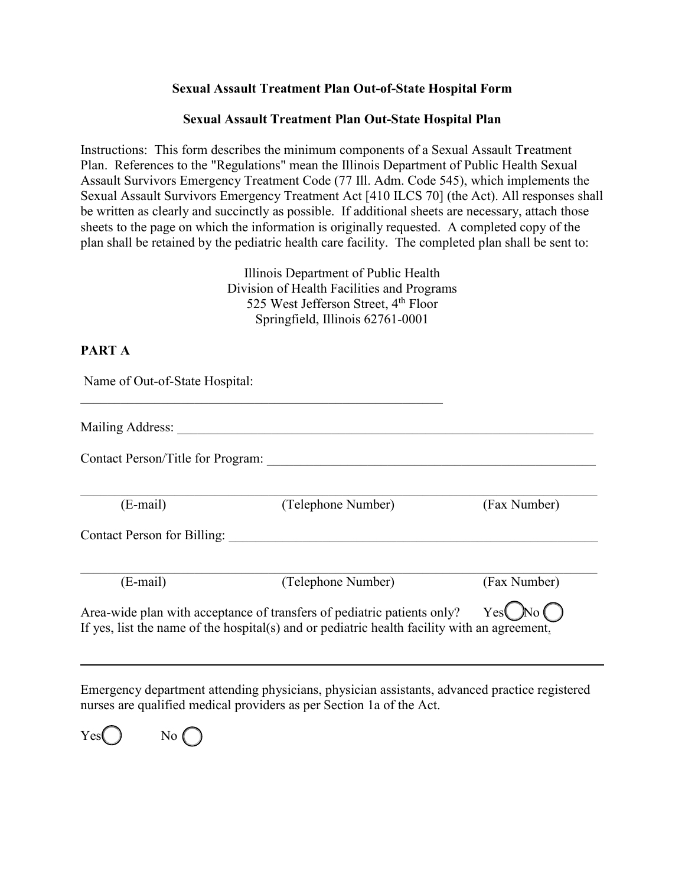### **Sexual Assault Treatment Plan Out-of-State Hospital Form**

### **Sexual Assault Treatment Plan Out-State Hospital Plan**

Instructions: This form describes the minimum components of a Sexual Assault T**r**eatment Plan. References to the "Regulations" mean the Illinois Department of Public Health Sexual Assault Survivors Emergency Treatment Code (77 Ill. Adm. Code 545), which implements the Sexual Assault Survivors Emergency Treatment Act [410 ILCS 70] (the Act). All responses shall be written as clearly and succinctly as possible. If additional sheets are necessary, attach those sheets to the page on which the information is originally requested. A completed copy of the plan shall be retained by the pediatric health care facility. The completed plan shall be sent to:

> Illinois Department of Public Health Division of Health Facilities and Programs 525 West Jefferson Street, 4<sup>th</sup> Floor Springfield, Illinois 62761-0001

### **PART A**

Name of Out-of-State Hospital:

Mailing Address: \_\_\_\_\_\_\_\_\_\_\_\_\_\_\_\_\_\_\_\_\_\_\_\_\_\_\_\_\_\_\_\_\_\_\_\_\_\_\_\_\_\_\_\_\_\_\_\_\_\_\_\_\_\_\_\_\_\_\_\_\_\_

Contact Person/Title for Program:

\_\_\_\_\_\_\_\_\_\_\_\_\_\_\_\_\_\_\_\_\_\_\_\_\_\_\_\_\_\_\_\_\_\_\_\_\_\_\_\_\_\_\_\_\_\_\_\_\_\_\_\_\_\_

\_\_\_\_\_\_\_\_\_\_\_\_\_\_\_\_\_\_\_\_\_\_\_\_\_\_\_\_\_\_\_\_\_\_\_\_\_\_\_\_\_\_\_\_\_\_\_\_\_\_\_\_\_\_\_\_\_\_\_\_\_\_\_\_\_\_\_\_\_\_\_\_\_\_\_\_\_ (E-mail) (Telephone Number) (Fax Number)

Contact Person for Billing:

\_\_\_\_\_\_\_\_\_\_\_\_\_\_\_\_\_\_\_\_\_\_\_\_\_\_\_\_\_\_\_\_\_\_\_\_\_\_\_\_\_\_\_\_\_\_\_\_\_\_\_\_\_\_\_\_\_\_\_\_\_\_\_\_\_\_\_\_\_\_\_\_\_\_\_\_\_ (E-mail) (Telephone Number) (Fax Number)

| Area-wide plan with acceptance of transfers of pediatric patients only? Yes $\bigcirc$ No $\bigcirc$ |  |
|------------------------------------------------------------------------------------------------------|--|
| If yes, list the name of the hospital(s) and or pediatric health facility with an agreement.         |  |

Emergency department attending physicians, physician assistants, advanced practice registered nurses are qualified medical providers as per Section 1a of the Act.

 $\mathcal{L}_\mathcal{L} = \mathcal{L}_\mathcal{L} = \mathcal{L}_\mathcal{L} = \mathcal{L}_\mathcal{L} = \mathcal{L}_\mathcal{L} = \mathcal{L}_\mathcal{L} = \mathcal{L}_\mathcal{L} = \mathcal{L}_\mathcal{L} = \mathcal{L}_\mathcal{L} = \mathcal{L}_\mathcal{L} = \mathcal{L}_\mathcal{L} = \mathcal{L}_\mathcal{L} = \mathcal{L}_\mathcal{L} = \mathcal{L}_\mathcal{L} = \mathcal{L}_\mathcal{L} = \mathcal{L}_\mathcal{L} = \mathcal{L}_\mathcal{L}$ 

Yes () No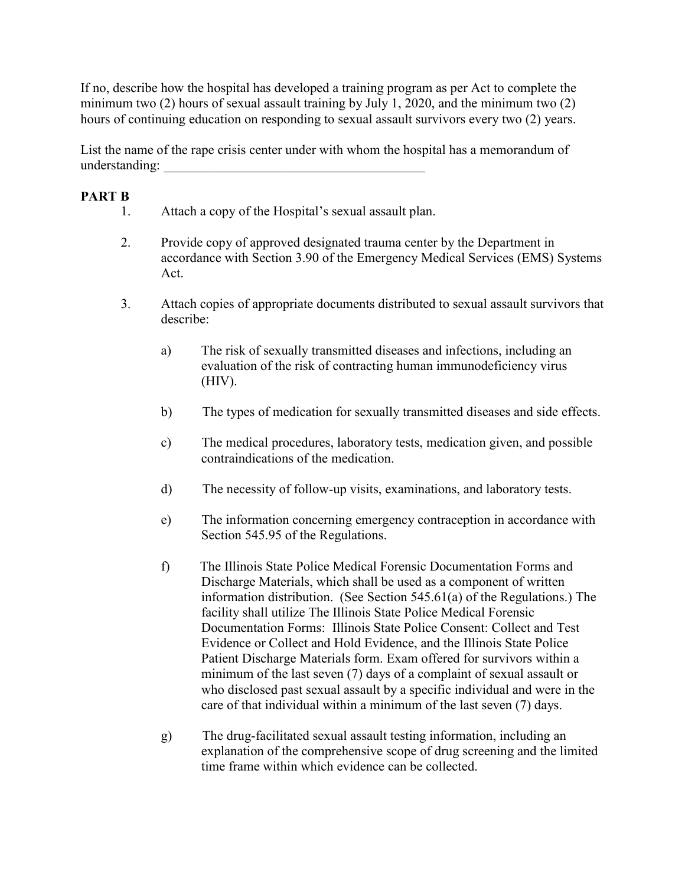If no, describe how the hospital has developed a training program as per Act to complete the minimum two (2) hours of sexual assault training by July 1, 2020, and the minimum two (2) hours of continuing education on responding to sexual assault survivors every two (2) years.

List the name of the rape crisis center under with whom the hospital has a memorandum of understanding:

# **PART B**

- 1. Attach a copy of the Hospital's sexual assault plan.
- 2. Provide copy of approved designated trauma center by the Department in accordance with Section 3.90 of the Emergency Medical Services (EMS) Systems Act.
- 3. Attach copies of appropriate documents distributed to sexual assault survivors that describe:
	- a) The risk of sexually transmitted diseases and infections, including an evaluation of the risk of contracting human immunodeficiency virus (HIV).
	- b) The types of medication for sexually transmitted diseases and side effects.
	- c) The medical procedures, laboratory tests, medication given, and possible contraindications of the medication.
	- d) The necessity of follow-up visits, examinations, and laboratory tests.
	- e) The information concerning emergency contraception in accordance with Section 545.95 of the Regulations.
	- f) The Illinois State Police Medical Forensic Documentation Forms and Discharge Materials, which shall be used as a component of written information distribution. (See Section 545.61(a) of the Regulations.) The facility shall utilize The Illinois State Police Medical Forensic Documentation Forms: Illinois State Police Consent: Collect and Test Evidence or Collect and Hold Evidence, and the Illinois State Police Patient Discharge Materials form. Exam offered for survivors within a minimum of the last seven (7) days of a complaint of sexual assault or who disclosed past sexual assault by a specific individual and were in the care of that individual within a minimum of the last seven (7) days.
	- g) The drug-facilitated sexual assault testing information, including an explanation of the comprehensive scope of drug screening and the limited time frame within which evidence can be collected.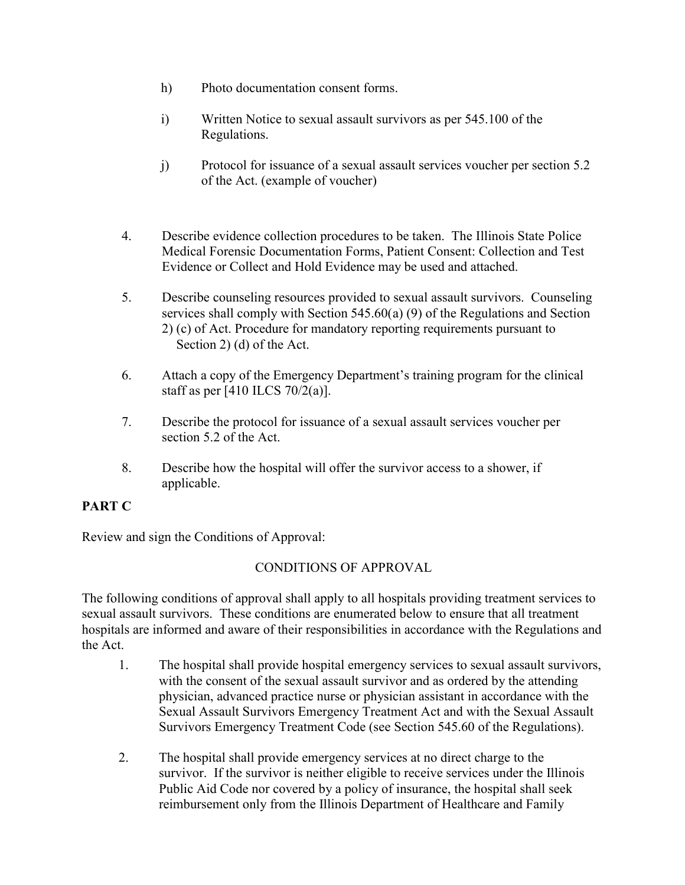- h) Photo documentation consent forms.
- i) Written Notice to sexual assault survivors as per 545.100 of the Regulations.
- j) Protocol for issuance of a sexual assault services voucher per section 5.2 of the Act. (example of voucher)
- 4. Describe evidence collection procedures to be taken. The Illinois State Police Medical Forensic Documentation Forms, Patient Consent: Collection and Test Evidence or Collect and Hold Evidence may be used and attached.
- 5. Describe counseling resources provided to sexual assault survivors. Counseling services shall comply with Section 545.60(a) (9) of the Regulations and Section 2) (c) of Act. Procedure for mandatory reporting requirements pursuant to Section 2) (d) of the Act.
- 6. Attach a copy of the Emergency Department's training program for the clinical staff as per [410 ILCS 70/2(a)].
- 7. Describe the protocol for issuance of a sexual assault services voucher per section 5.2 of the Act.
- 8. Describe how the hospital will offer the survivor access to a shower, if applicable.

# **PART C**

Review and sign the Conditions of Approval:

### CONDITIONS OF APPROVAL

The following conditions of approval shall apply to all hospitals providing treatment services to sexual assault survivors. These conditions are enumerated below to ensure that all treatment hospitals are informed and aware of their responsibilities in accordance with the Regulations and the Act.

- 1. The hospital shall provide hospital emergency services to sexual assault survivors, with the consent of the sexual assault survivor and as ordered by the attending physician, advanced practice nurse or physician assistant in accordance with the Sexual Assault Survivors Emergency Treatment Act and with the Sexual Assault Survivors Emergency Treatment Code (see Section 545.60 of the Regulations).
- 2. The hospital shall provide emergency services at no direct charge to the survivor. If the survivor is neither eligible to receive services under the Illinois Public Aid Code nor covered by a policy of insurance, the hospital shall seek reimbursement only from the Illinois Department of Healthcare and Family